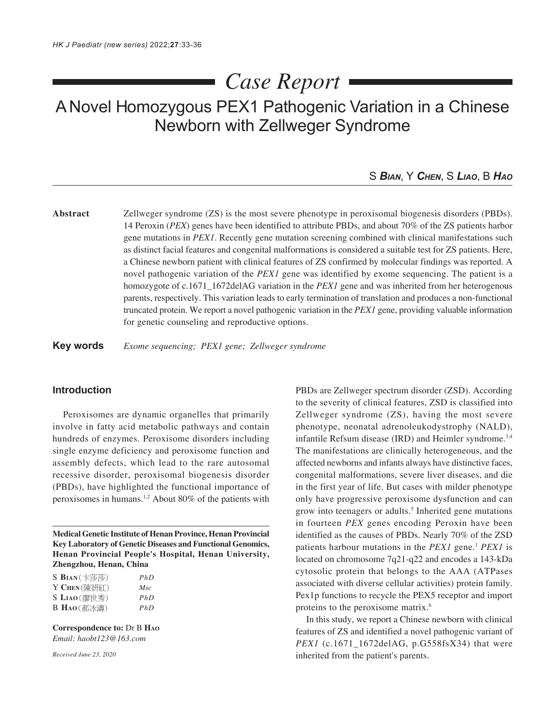# *Case Report*

# A Novel Homozygous PEX1 Pathogenic Variation in a Chinese Newborn with Zellweger Syndrome

## S *BIAN*, Y *CHEN*, S *LIAO*, B *HAO*

**Abstract** Zellweger syndrome (ZS) is the most severe phenotype in peroxisomal biogenesis disorders (PBDs). 14 Peroxin (*PEX*) genes have been identified to attribute PBDs, and about 70% of the ZS patients harbor gene mutations in *PEX1*. Recently gene mutation screening combined with clinical manifestations such as distinct facial features and congenital malformations is considered a suitable test for ZS patients. Here, a Chinese newborn patient with clinical features of ZS confirmed by molecular findings was reported. A novel pathogenic variation of the *PEX1* gene was identified by exome sequencing. The patient is a homozygote of c.1671<sup>-1672</sup>delAG variation in the *PEX1* gene and was inherited from her heterogenous parents, respectively. This variation leads to early termination of translation and produces a non-functional truncated protein. We report a novel pathogenic variation in the *PEX1* gene, providing valuable information for genetic counseling and reproductive options.

**Key words** *Exome sequencing; PEX1 gene; Zellweger syndrome*

#### **Introduction**

Peroxisomes are dynamic organelles that primarily involve in fatty acid metabolic pathways and contain hundreds of enzymes. Peroxisome disorders including single enzyme deficiency and peroxisome function and assembly defects, which lead to the rare autosomal recessive disorder, peroxisomal biogenesis disorder (PBDs), have highlighted the functional importance of peroxisomes in humans.1,2 About 80% of the patients with

**Medical Genetic Institute of Henan Province, Henan Provincial Key Laboratory of Genetic Diseases and Functional Genomics, Henan Provincial People's Hospital, Henan University, Zhengzhou, Henan, China**

| $S$ BIAN $(\pm \bar{\psi}\bar{\psi})$      | PhD |
|--------------------------------------------|-----|
| Y CHEN (陳妍紅)                               | Msc |
| $S$ LIAO(廖世秀)                              | PhD |
| <b>B</b> $Hao(\sqrt{m} \times \mathbb{R})$ | PhD |

**Correspondence to:** Dr B **HAO** *Email: haobt123@163.com*

*Received June 23, 2020*

PBDs are Zellweger spectrum disorder (ZSD). According to the severity of clinical features, ZSD is classified into Zellweger syndrome (ZS), having the most severe phenotype, neonatal adrenoleukodystrophy (NALD), infantile Refsum disease (IRD) and Heimler syndrome.3,4 The manifestations are clinically heterogeneous, and the affected newborns and infants always have distinctive faces, congenital malformations, severe liver diseases, and die in the first year of life. But cases with milder phenotype only have progressive peroxisome dysfunction and can grow into teenagers or adults.<sup>5</sup> Inherited gene mutations in fourteen *PEX* genes encoding Peroxin have been identified as the causes of PBDs. Nearly 70% of the ZSD patients harbour mutations in the *PEX1* gene.1 *PEX1* is located on chromosome 7q21-q22 and encodes a 143-kDa cytosolic protein that belongs to the AAA (ATPases associated with diverse cellular activities) protein family. Pex1p functions to recycle the PEX5 receptor and import proteins to the peroxisome matrix.6

In this study, we report a Chinese newborn with clinical features of ZS and identified a novel pathogenic variant of *PEX1* (c.1671\_1672delAG, p.G558fsX34) that were inherited from the patient's parents.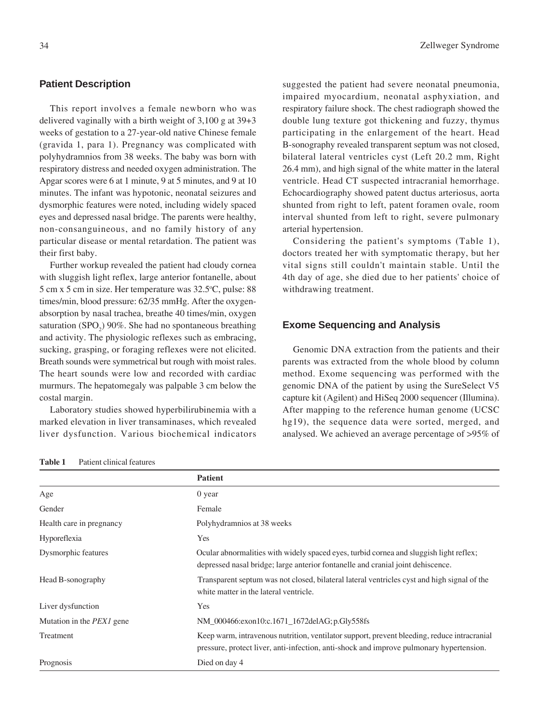#### **Patient Description**

This report involves a female newborn who was delivered vaginally with a birth weight of 3,100 g at 39+3 weeks of gestation to a 27-year-old native Chinese female (gravida 1, para 1). Pregnancy was complicated with polyhydramnios from 38 weeks. The baby was born with respiratory distress and needed oxygen administration. The Apgar scores were 6 at 1 minute, 9 at 5 minutes, and 9 at 10 minutes. The infant was hypotonic, neonatal seizures and dysmorphic features were noted, including widely spaced eyes and depressed nasal bridge. The parents were healthy, non-consanguineous, and no family history of any particular disease or mental retardation. The patient was their first baby.

Further workup revealed the patient had cloudy cornea with sluggish light reflex, large anterior fontanelle, about 5 cm x 5 cm in size. Her temperature was 32.5°C, pulse: 88 times/min, blood pressure: 62/35 mmHg. After the oxygenabsorption by nasal trachea, breathe 40 times/min, oxygen saturation  $(SPO<sub>2</sub>)$  90%. She had no spontaneous breathing and activity. The physiologic reflexes such as embracing, sucking, grasping, or foraging reflexes were not elicited. Breath sounds were symmetrical but rough with moist rales. The heart sounds were low and recorded with cardiac murmurs. The hepatomegaly was palpable 3 cm below the costal margin.

Laboratory studies showed hyperbilirubinemia with a marked elevation in liver transaminases, which revealed liver dysfunction. Various biochemical indicators suggested the patient had severe neonatal pneumonia, impaired myocardium, neonatal asphyxiation, and respiratory failure shock. The chest radiograph showed the double lung texture got thickening and fuzzy, thymus participating in the enlargement of the heart. Head B-sonography revealed transparent septum was not closed, bilateral lateral ventricles cyst (Left 20.2 mm, Right 26.4 mm), and high signal of the white matter in the lateral ventricle. Head CT suspected intracranial hemorrhage. Echocardiography showed patent ductus arteriosus, aorta shunted from right to left, patent foramen ovale, room interval shunted from left to right, severe pulmonary arterial hypertension.

Considering the patient's symptoms (Table 1), doctors treated her with symptomatic therapy, but her vital signs still couldn't maintain stable. Until the 4th day of age, she died due to her patients' choice of withdrawing treatment.

#### **Exome Sequencing and Analysis**

Genomic DNA extraction from the patients and their parents was extracted from the whole blood by column method. Exome sequencing was performed with the genomic DNA of the patient by using the SureSelect V5 capture kit (Agilent) and HiSeq 2000 sequencer (Illumina). After mapping to the reference human genome (UCSC hg19), the sequence data were sorted, merged, and analysed. We achieved an average percentage of >95% of

| Table 1 | Patient clinical features |  |
|---------|---------------------------|--|
|---------|---------------------------|--|

|                                  | <b>Patient</b>                                                                                                                                                                         |
|----------------------------------|----------------------------------------------------------------------------------------------------------------------------------------------------------------------------------------|
| Age                              | 0 year                                                                                                                                                                                 |
| Gender                           | Female                                                                                                                                                                                 |
| Health care in pregnancy         | Polyhydramnios at 38 weeks                                                                                                                                                             |
| Hyporeflexia                     | Yes                                                                                                                                                                                    |
| Dysmorphic features              | Ocular abnormalities with widely spaced eyes, turbid cornea and sluggish light reflex;<br>depressed nasal bridge; large anterior fontanelle and cranial joint dehiscence.              |
| Head B-sonography                | Transparent septum was not closed, bilateral lateral ventricles cyst and high signal of the<br>white matter in the lateral ventricle.                                                  |
| Liver dysfunction                | Yes                                                                                                                                                                                    |
| Mutation in the <i>PEX1</i> gene | NM 000466:exon10:c.1671 1672delAG; p.Gly558fs                                                                                                                                          |
| Treatment                        | Keep warm, intravenous nutrition, ventilator support, prevent bleeding, reduce intracranial<br>pressure, protect liver, anti-infection, anti-shock and improve pulmonary hypertension. |
| Prognosis                        | Died on day 4                                                                                                                                                                          |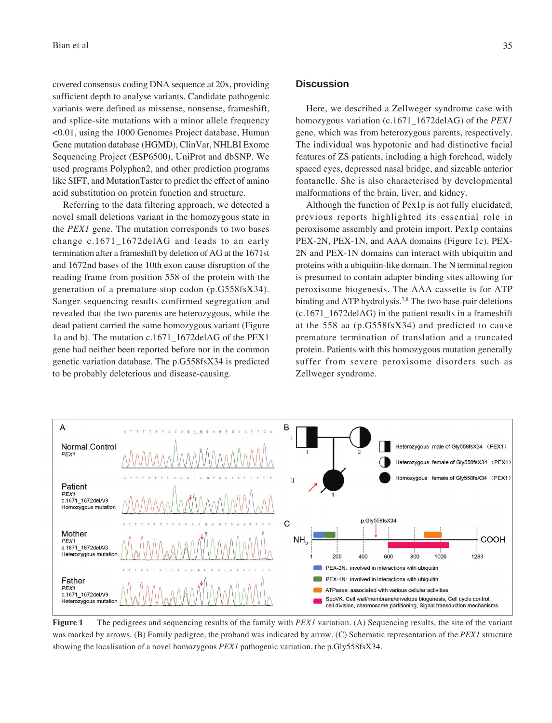covered consensus coding DNA sequence at 20x, providing sufficient depth to analyse variants. Candidate pathogenic variants were defined as missense, nonsense, frameshift, and splice-site mutations with a minor allele frequency <0.01, using the 1000 Genomes Project database, Human Gene mutation database (HGMD), ClinVar, NHLBI Exome Sequencing Project (ESP6500), UniProt and dbSNP. We used programs Polyphen2, and other prediction programs like SIFT, and MutationTaster to predict the effect of amino acid substitution on protein function and structure.

Referring to the data filtering approach, we detected a novel small deletions variant in the homozygous state in the *PEX1* gene. The mutation corresponds to two bases change c.1671\_1672delAG and leads to an early termination after a frameshift by deletion of AG at the 1671st and 1672nd bases of the 10th exon cause disruption of the reading frame from position 558 of the protein with the generation of a premature stop codon (p.G558fsX34). Sanger sequencing results confirmed segregation and revealed that the two parents are heterozygous, while the dead patient carried the same homozygous variant (Figure 1a and b). The mutation c.1671\_1672delAG of the PEX1 gene had neither been reported before nor in the common genetic variation database. The p.G558fsX34 is predicted to be probably deleterious and disease-causing.

#### **Discussion**

Here, we described a Zellweger syndrome case with homozygous variation (c.1671\_1672delAG) of the *PEX1* gene, which was from heterozygous parents, respectively. The individual was hypotonic and had distinctive facial features of ZS patients, including a high forehead, widely spaced eyes, depressed nasal bridge, and sizeable anterior fontanelle. She is also characterised by developmental malformations of the brain, liver, and kidney.

Although the function of Pex1p is not fully elucidated, previous reports highlighted its essential role in peroxisome assembly and protein import. Pex1p contains PEX-2N, PEX-1N, and AAA domains (Figure 1c). PEX-2N and PEX-1N domains can interact with ubiquitin and proteins with a ubiquitin-like domain. The N terminal region is presumed to contain adapter binding sites allowing for peroxisome biogenesis. The AAA cassette is for ATP binding and ATP hydrolysis.<sup>7,8</sup> The two base-pair deletions (c.1671\_1672delAG) in the patient results in a frameshift at the 558 aa (p.G558fsX34) and predicted to cause premature termination of translation and a truncated protein. Patients with this homozygous mutation generally suffer from severe peroxisome disorders such as Zellweger syndrome.



**Figure 1** The pedigrees and sequencing results of the family with *PEX1* variation. (A) Sequencing results, the site of the variant was marked by arrows. (B) Family pedigree, the proband was indicated by arrow. (C) Schematic representation of the *PEX1* structure showing the localisation of a novel homozygous *PEX1* pathogenic variation, the p.Gly558fsX34.